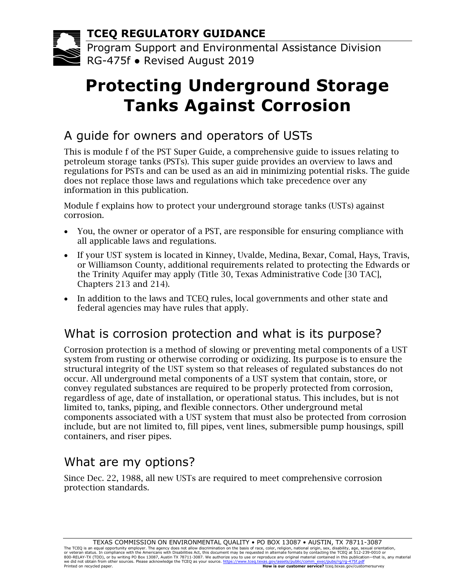**TCEQ REGULATORY GUIDANCE**



Program Support and Environmental Assistance Division RG-475f ● Revised August 2019

# **Protecting Underground Storage Tanks Against Corrosion**

# A guide for owners and operators of USTs

This is module f of the PST Super Guide, a comprehensive guide to issues relating to petroleum storage tanks (PSTs). This super guide provides an overview to laws and regulations for PSTs and can be used as an aid in minimizing potential risks. The guide does not replace those laws and regulations which take precedence over any information in this publication.

Module f explains how to protect your underground storage tanks (USTs) against corrosion.

- You, the owner or operator of a PST, are responsible for ensuring compliance with all applicable laws and regulations.
- If your UST system is located in Kinney, Uvalde, Medina, Bexar, Comal, Hays, Travis, or Williamson County, additional requirements related to protecting the Edwards or the Trinity Aquifer may apply (Title 30, Texas Administrative Code [30 TAC], Chapters 213 and 214).
- In addition to the laws and TCEQ rules, local governments and other state and federal agencies may have rules that apply.

### What is corrosion protection and what is its purpose?

Corrosion protection is a method of slowing or preventing metal components of a UST system from rusting or otherwise corroding or oxidizing. Its purpose is to ensure the structural integrity of the UST system so that releases of regulated substances do not occur. All underground metal components of a UST system that contain, store, or convey regulated substances are required to be properly protected from corrosion, regardless of age, date of installation, or operational status. This includes, but is not limited to, tanks, piping, and flexible connectors. Other underground metal components associated with a UST system that must also be protected from corrosion include, but are not limited to, fill pipes, vent lines, submersible pump housings, spill containers, and riser pipes.

# What are my options?

Since Dec. 22, 1988, all new USTs are required to meet comprehensive corrosion protection standards.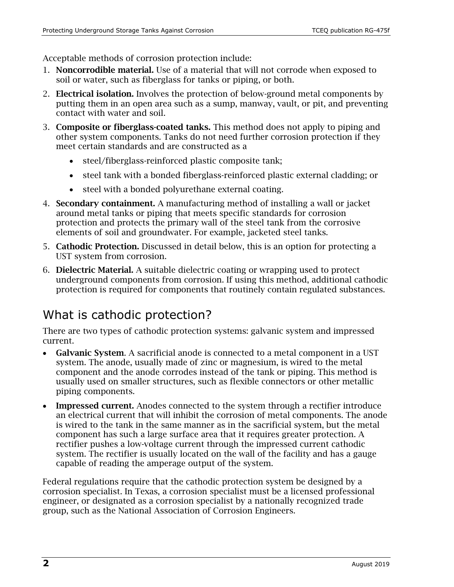Acceptable methods of corrosion protection include:

- 1. Noncorrodible material. Use of a material that will not corrode when exposed to soil or water, such as fiberglass for tanks or piping, or both.
- 2. Electrical isolation. Involves the protection of below-ground metal components by putting them in an open area such as a sump, manway, vault, or pit, and preventing contact with water and soil.
- 3. Composite or fiberglass-coated tanks. This method does not apply to piping and other system components. Tanks do not need further corrosion protection if they meet certain standards and are constructed as a
	- steel/fiberglass-reinforced plastic composite tank;
	- steel tank with a bonded fiberglass-reinforced plastic external cladding; or
	- steel with a bonded polyurethane external coating.
- 4. Secondary containment. A manufacturing method of installing a wall or jacket around metal tanks or piping that meets specific standards for corrosion protection and protects the primary wall of the steel tank from the corrosive elements of soil and groundwater. For example, jacketed steel tanks.
- 5. Cathodic Protection. Discussed in detail below, this is an option for protecting a UST system from corrosion.
- 6. Dielectric Material. A suitable dielectric coating or wrapping used to protect underground components from corrosion. If using this method, additional cathodic protection is required for components that routinely contain regulated substances.

### What is cathodic protection?

There are two types of cathodic protection systems: galvanic system and impressed current.

- Galvanic System. A sacrificial anode is connected to a metal component in a UST system. The anode, usually made of zinc or magnesium, is wired to the metal component and the anode corrodes instead of the tank or piping. This method is usually used on smaller structures, such as flexible connectors or other metallic piping components.
- Impressed current. Anodes connected to the system through a rectifier introduce an electrical current that will inhibit the corrosion of metal components. The anode is wired to the tank in the same manner as in the sacrificial system, but the metal component has such a large surface area that it requires greater protection. A rectifier pushes a low-voltage current through the impressed current cathodic system. The rectifier is usually located on the wall of the facility and has a gauge capable of reading the amperage output of the system.

Federal regulations require that the cathodic protection system be designed by a corrosion specialist. In Texas, a corrosion specialist must be a licensed professional engineer, or designated as a corrosion specialist by a nationally recognized trade group, such as the National Association of Corrosion Engineers.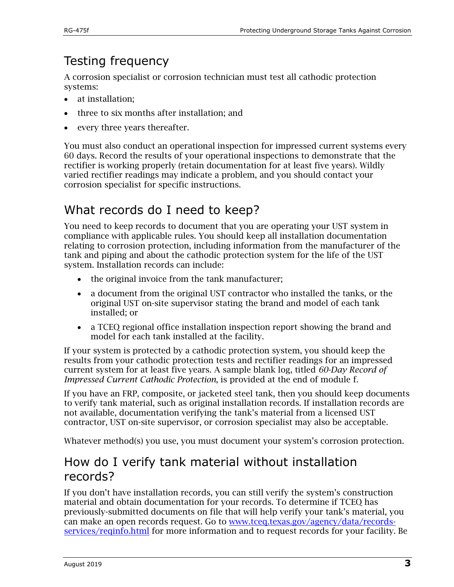# Testing frequency

A corrosion specialist or corrosion technician must test all cathodic protection systems:

- at installation;
- three to six months after installation; and
- every three years thereafter.

You must also conduct an operational inspection for impressed current systems every 60 days. Record the results of your operational inspections to demonstrate that the rectifier is working properly (retain documentation for at least five years). Wildly varied rectifier readings may indicate a problem, and you should contact your corrosion specialist for specific instructions.

# What records do I need to keep?

You need to keep records to document that you are operating your UST system in compliance with applicable rules. You should keep all installation documentation relating to corrosion protection, including information from the manufacturer of the tank and piping and about the cathodic protection system for the life of the UST system. Installation records can include:

- the original invoice from the tank manufacturer;
- a document from the original UST contractor who installed the tanks, or the original UST on-site supervisor stating the brand and model of each tank installed; or
- a TCEQ regional office installation inspection report showing the brand and model for each tank installed at the facility.

If your system is protected by a cathodic protection system, you should keep the results from your cathodic protection tests and rectifier readings for an impressed current system for at least five years. A sample blank log, titled *60-Day Record of Impressed Current Cathodic Protection*, is provided at the end of module f.

If you have an FRP, composite, or jacketed steel tank, then you should keep documents to verify tank material, such as original installation records. If installation records are not available, documentation verifying the tank's material from a licensed UST contractor, UST on-site supervisor, or corrosion specialist may also be acceptable.

Whatever method(s) you use, you must document your system's corrosion protection.

### How do I verify tank material without installation records?

If you don't have installation records, you can still verify the system's construction material and obtain documentation for your records. To determine if TCEQ has previously-submitted documents on file that will help verify your tank's material, you can make an open records request. Go to [www.tceq.texas.gov/agency/data/records](https://www.tceq.texas.gov/agency/data/records-services/reqinfo.html)[services/reqinfo.html](https://www.tceq.texas.gov/agency/data/records-services/reqinfo.html) for more information and to request records for your facility. Be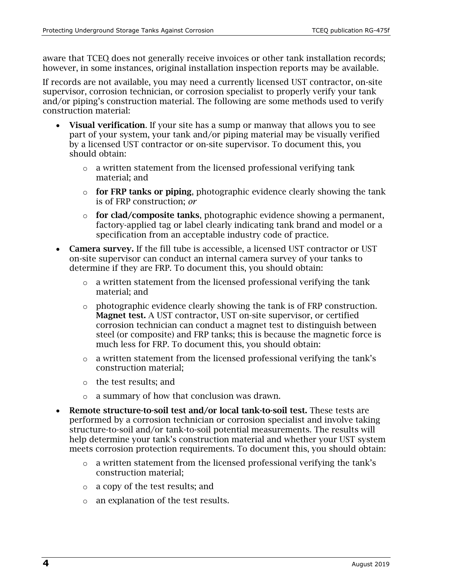aware that TCEQ does not generally receive invoices or other tank installation records; however, in some instances, original installation inspection reports may be available.

If records are not available, you may need a currently licensed UST contractor, on-site supervisor, corrosion technician, or corrosion specialist to properly verify your tank and/or piping's construction material. The following are some methods used to verify construction material:

- Visual verification. If your site has a sump or manway that allows you to see part of your system, your tank and/or piping material may be visually verified by a licensed UST contractor or on-site supervisor. To document this, you should obtain:
	- $\circ$  a written statement from the licensed professional verifying tank material; and
	- $\circ$  for FRP tanks or piping, photographic evidence clearly showing the tank is of FRP construction; *or*
	- o for clad/composite tanks, photographic evidence showing a permanent, factory-applied tag or label clearly indicating tank brand and model or a specification from an acceptable industry code of practice.
- Camera survey. If the fill tube is accessible, a licensed UST contractor or UST on-site supervisor can conduct an internal camera survey of your tanks to determine if they are FRP. To document this, you should obtain:
	- o a written statement from the licensed professional verifying the tank material; and
	- o photographic evidence clearly showing the tank is of FRP construction. Magnet test. A UST contractor, UST on-site supervisor, or certified corrosion technician can conduct a magnet test to distinguish between steel (or composite) and FRP tanks; this is because the magnetic force is much less for FRP. To document this, you should obtain:
	- o a written statement from the licensed professional verifying the tank's construction material;
	- o the test results; and
	- o a summary of how that conclusion was drawn.
- Remote structure-to-soil test and/or local tank-to-soil test. These tests are performed by a corrosion technician or corrosion specialist and involve taking structure-to-soil and/or tank-to-soil potential measurements. The results will help determine your tank's construction material and whether your UST system meets corrosion protection requirements. To document this, you should obtain:
	- o a written statement from the licensed professional verifying the tank's construction material;
	- o a copy of the test results; and
	- o an explanation of the test results.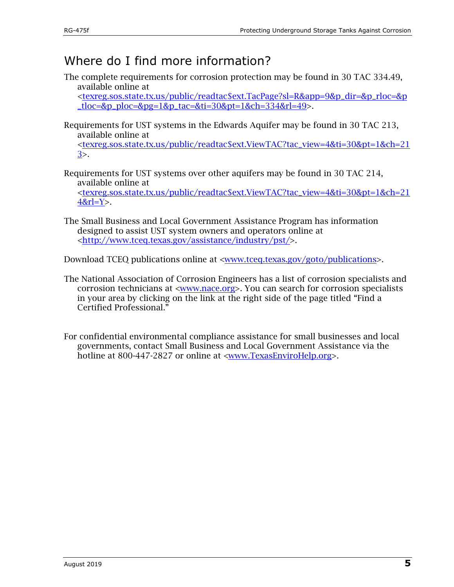# Where do I find more information?

The complete requirements for corrosion protection may be found in 30 TAC 334.49, available online at

[<texreg.sos.state.tx.us/public/readtac\\$ext.TacPage?sl=R&app=9&p\\_dir=&p\\_rloc=&p](https://texreg.sos.state.tx.us/public/readtac$ext.TacPage?sl=R&app=9&p_dir=&p_rloc=&p_tloc=&p_ploc=&pg=1&p_tac=&ti=30&pt=1&ch=334&rl=49)  $100=&p<sub>1</sub>=&p<sub>1</sub>=&p<sub>1</sub>=&p<sub>1</sub>=&p<sub>1</sub>=&p<sub>1</sub>=&p<sub>2</sub>=&p<sub>1</sub>=&p<sub>2</sub>=&p<sub>1</sub>=&p<sub>2</sub>=&p<sub>1</sub>=&p<sub>1</sub>=&p<sub>2</sub>=&p<sub>1</sub>=&p<sub>1</sub>=&p<sub>1</sub>=&p<sub>1</sub>=&p<sub>1</sub>=&p<sub>1</sub>=&p<sub>1</sub>=&p<sub>1</sub>=&p<sub>1</sub>=&p$ </u>

- Requirements for UST systems in the Edwards Aquifer may be found in 30 TAC 213, available online at [<texreg.sos.state.tx.us/public/readtac\\$ext.ViewTAC?tac\\_view=4&ti=30&pt=1&ch=21](https://texreg.sos.state.tx.us/public/readtac$ext.ViewTAC?tac_view=4&ti=30&pt=1&ch=213) [3>](https://texreg.sos.state.tx.us/public/readtac$ext.ViewTAC?tac_view=4&ti=30&pt=1&ch=213).
- Requirements for UST systems over other aquifers may be found in 30 TAC 214, available online at [<texreg.sos.state.tx.us/public/readtac\\$ext.ViewTAC?tac\\_view=4&ti=30&pt=1&ch=21](https://texreg.sos.state.tx.us/public/readtac$ext.ViewTAC?tac_view=4&ti=30&pt=1&ch=214&rl=Y)  $4&r=Y$ .
- The Small Business and Local Government Assistance Program has information designed to assist UST system owners and operators online at [<http://www.tceq.texas.gov/assistance/industry/pst/>](http://www.tceq.texas.gov/assistance/industry/pst/).

Download TCEQ publications online at [<www.tceq.texas.gov/goto/publications>](https://www.tceq.texas.gov/goto/publications).

- The National Association of Corrosion Engineers has a list of corrosion specialists and corrosion technicians at [<www.nace.org>](http://www.nace.org/). You can search for corrosion specialists in your area by clicking on the link at the right side of the page titled "Find a Certified Professional."
- For confidential environmental compliance assistance for small businesses and local governments, contact Small Business and Local Government Assistance via the hotline at 800-447-2827 or online at [<www.TexasEnviroHelp.org>](http://www.texasenvirohelp.org/).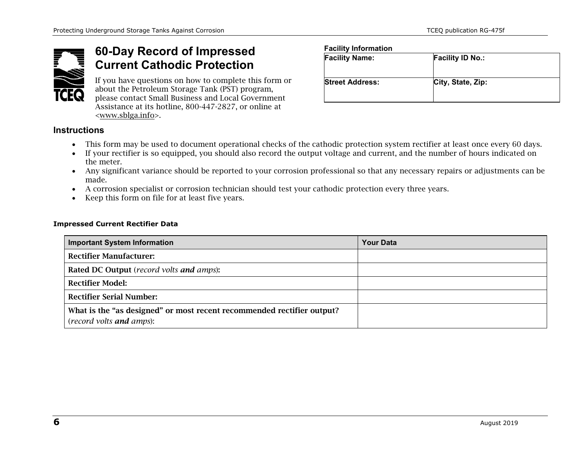

#### **60-Day Record of Impressed Current Cathodic Protection**

If you have questions on how to complete this form or about the Petroleum Storage Tank (PST) program, please contact Small Business and Local Government Assistance at its hotline, 800-447-2827, or online at [<www.sblga.info>](http://www.sblga.info/).

| <b>Facility Name:</b>  | <b>Facility ID No.:</b> |  |
|------------------------|-------------------------|--|
| <b>Street Address:</b> | City, State, Zip:       |  |
|                        |                         |  |

#### **Instructions**

• This form may be used to document operational checks of the cathodic protection system rectifier at least once every 60 days.

**Facility Information**

- If your rectifier is so equipped, you should also record the output voltage and current, and the number of hours indicated on the meter.
- Any significant variance should be reported to your corrosion professional so that any necessary repairs or adjustments can be made.
- A corrosion specialist or corrosion technician should test your cathodic protection every three years.
- Keep this form on file for at least five years.

#### **Impressed Current Rectifier Data**

| <b>Important System Information</b>                                    | <b>Your Data</b> |
|------------------------------------------------------------------------|------------------|
| <b>Rectifier Manufacturer:</b>                                         |                  |
| Rated DC Output (record volts and amps):                               |                  |
| <b>Rectifier Model:</b>                                                |                  |
| <b>Rectifier Serial Number:</b>                                        |                  |
| What is the "as designed" or most recent recommended rectifier output? |                  |
| (record volts and amps):                                               |                  |